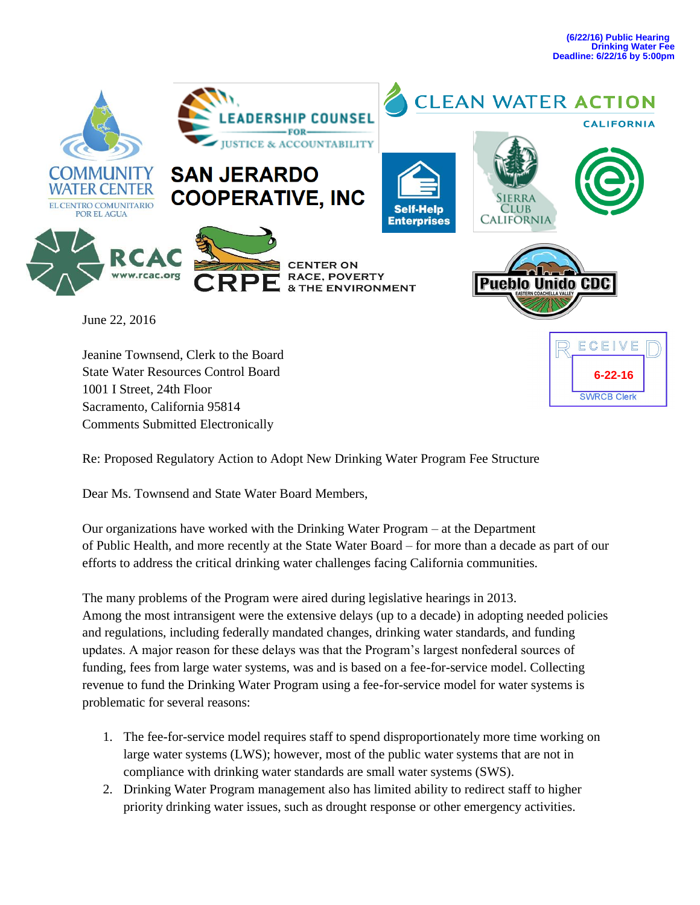

Jeanine Townsend, Clerk to the Board State Water Resources Control Board 1001 I Street, 24th Floor Sacramento, California 95814 Comments Submitted Electronically



Re: Proposed Regulatory Action to Adopt New Drinking Water Program Fee Structure

Dear Ms. Townsend and State Water Board Members,

Our organizations have worked with the Drinking Water Program – at the Department of Public Health, and more recently at the State Water Board – for more than a decade as part of our efforts to address the critical drinking water challenges facing California communities.

The many problems of the Program were aired during legislative hearings in 2013. Among the most intransigent were the extensive delays (up to a decade) in adopting needed policies and regulations, including federally mandated changes, drinking water standards, and funding updates. A major reason for these delays was that the Program's largest nonfederal sources of funding, fees from large water systems, was and is based on a fee-for-service model. Collecting revenue to fund the Drinking Water Program using a fee-for-service model for water systems is problematic for several reasons:

- 1. The fee-for-service model requires staff to spend disproportionately more time working on large water systems (LWS); however, most of the public water systems that are not in compliance with drinking water standards are small water systems (SWS).
- 2. Drinking Water Program management also has limited ability to redirect staff to higher priority drinking water issues, such as drought response or other emergency activities.